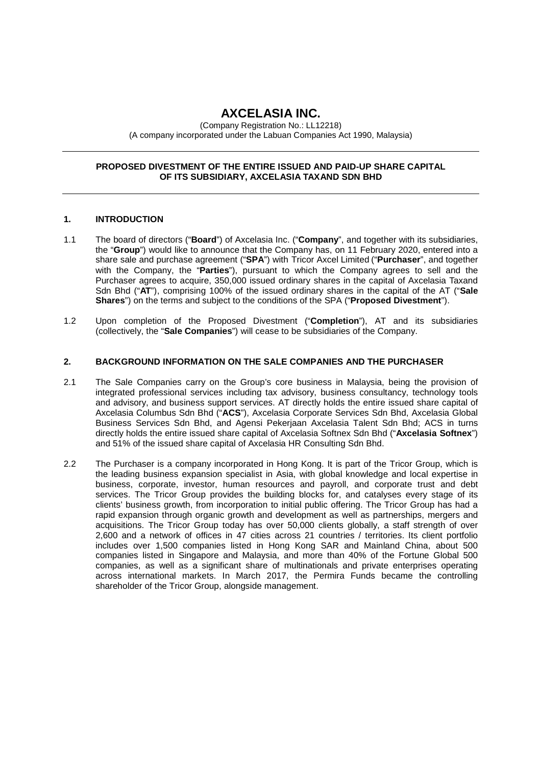# **AXCELASIA INC.**

(Company Registration No.: LL12218) (A company incorporated under the Labuan Companies Act 1990, Malaysia)

# **PROPOSED DIVESTMENT OF THE ENTIRE ISSUED AND PAID-UP SHARE CAPITAL OF ITS SUBSIDIARY, AXCELASIA TAXAND SDN BHD**

# **1. INTRODUCTION**

- 1.1 The board of directors ("**Board**") of Axcelasia Inc. ("**Company**", and together with its subsidiaries, the "**Group**") would like to announce that the Company has, on 11 February 2020, entered into a share sale and purchase agreement ("**SPA**") with Tricor Axcel Limited ("**Purchaser**", and together with the Company, the "**Parties**"), pursuant to which the Company agrees to sell and the Purchaser agrees to acquire, 350,000 issued ordinary shares in the capital of Axcelasia Taxand Sdn Bhd ("**AT**"), comprising 100% of the issued ordinary shares in the capital of the AT ("**Sale Shares**") on the terms and subject to the conditions of the SPA ("**Proposed Divestment**").
- 1.2 Upon completion of the Proposed Divestment ("**Completion**"), AT and its subsidiaries (collectively, the "**Sale Companies**") will cease to be subsidiaries of the Company.

#### **2. BACKGROUND INFORMATION ON THE SALE COMPANIES AND THE PURCHASER**

- 2.1 The Sale Companies carry on the Group's core business in Malaysia, being the provision of integrated professional services including tax advisory, business consultancy, technology tools and advisory, and business support services. AT directly holds the entire issued share capital of Axcelasia Columbus Sdn Bhd ("**ACS**"), Axcelasia Corporate Services Sdn Bhd, Axcelasia Global Business Services Sdn Bhd, and Agensi Pekerjaan Axcelasia Talent Sdn Bhd; ACS in turns directly holds the entire issued share capital of Axcelasia Softnex Sdn Bhd ("**Axcelasia Softnex**") and 51% of the issued share capital of Axcelasia HR Consulting Sdn Bhd.
- 2.2 The Purchaser is a company incorporated in Hong Kong. It is part of the Tricor Group, which is the leading business expansion specialist in Asia, with global knowledge and local expertise in business, corporate, investor, human resources and payroll, and corporate trust and debt services. The Tricor Group provides the building blocks for, and catalyses every stage of its clients' business growth, from incorporation to initial public offering. The Tricor Group has had a rapid expansion through organic growth and development as well as partnerships, mergers and acquisitions. The Tricor Group today has over 50,000 clients globally, a staff strength of over 2,600 and a network of offices in 47 cities across 21 countries / territories. Its client portfolio includes over 1,500 companies listed in Hong Kong SAR and Mainland China, about 500 companies listed in Singapore and Malaysia, and more than 40% of the Fortune Global 500 companies, as well as a significant share of multinationals and private enterprises operating across international markets. In March 2017, the Permira Funds became the controlling shareholder of the Tricor Group, alongside management.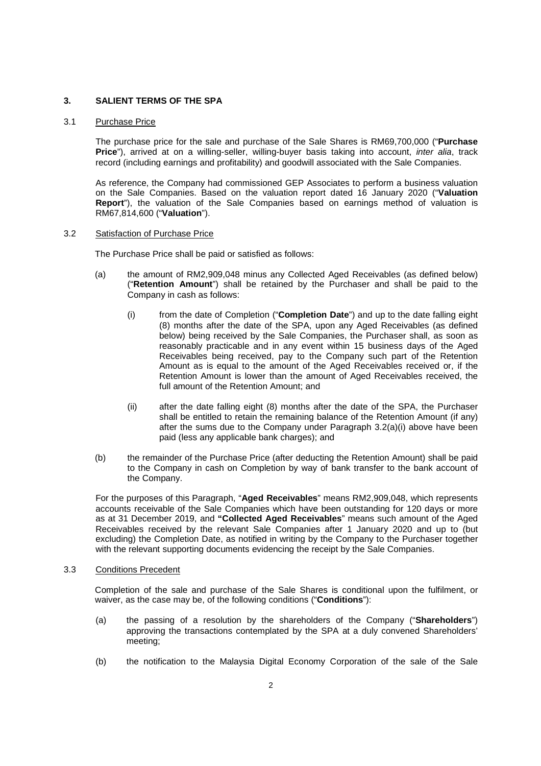### **3. SALIENT TERMS OF THE SPA**

#### 3.1 Purchase Price

The purchase price for the sale and purchase of the Sale Shares is RM69,700,000 ("**Purchase Price**"), arrived at on a willing-seller, willing-buyer basis taking into account, *inter alia*, track record (including earnings and profitability) and goodwill associated with the Sale Companies.

As reference, the Company had commissioned GEP Associates to perform a business valuation on the Sale Companies. Based on the valuation report dated 16 January 2020 ("**Valuation Report**"), the valuation of the Sale Companies based on earnings method of valuation is RM67,814,600 ("**Valuation**").

3.2 Satisfaction of Purchase Price

The Purchase Price shall be paid or satisfied as follows:

- (a) the amount of RM2,909,048 minus any Collected Aged Receivables (as defined below) ("**Retention Amount**") shall be retained by the Purchaser and shall be paid to the Company in cash as follows:
	- (i) from the date of Completion ("**Completion Date**") and up to the date falling eight (8) months after the date of the SPA, upon any Aged Receivables (as defined below) being received by the Sale Companies, the Purchaser shall, as soon as reasonably practicable and in any event within 15 business days of the Aged Receivables being received, pay to the Company such part of the Retention Amount as is equal to the amount of the Aged Receivables received or, if the Retention Amount is lower than the amount of Aged Receivables received, the full amount of the Retention Amount; and
	- (ii) after the date falling eight (8) months after the date of the SPA, the Purchaser shall be entitled to retain the remaining balance of the Retention Amount (if any) after the sums due to the Company under Paragraph  $3.2(a)(i)$  above have been paid (less any applicable bank charges); and
- (b) the remainder of the Purchase Price (after deducting the Retention Amount) shall be paid to the Company in cash on Completion by way of bank transfer to the bank account of the Company.

For the purposes of this Paragraph, "**Aged Receivables**" means RM2,909,048, which represents accounts receivable of the Sale Companies which have been outstanding for 120 days or more as at 31 December 2019, and **"Collected Aged Receivables**" means such amount of the Aged Receivables received by the relevant Sale Companies after 1 January 2020 and up to (but excluding) the Completion Date, as notified in writing by the Company to the Purchaser together with the relevant supporting documents evidencing the receipt by the Sale Companies.

#### 3.3 Conditions Precedent

 Completion of the sale and purchase of the Sale Shares is conditional upon the fulfilment, or waiver, as the case may be, of the following conditions ("**Conditions**"):

- (a) the passing of a resolution by the shareholders of the Company ("**Shareholders**") approving the transactions contemplated by the SPA at a duly convened Shareholders' meeting;
- (b) the notification to the Malaysia Digital Economy Corporation of the sale of the Sale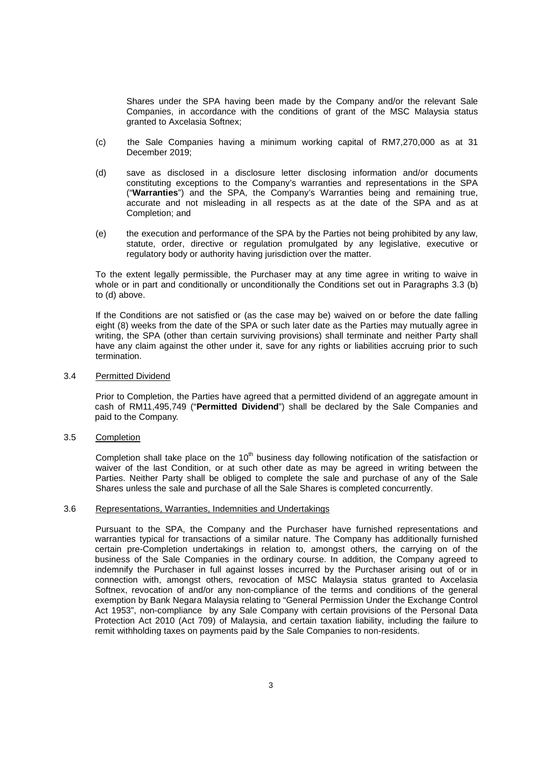Shares under the SPA having been made by the Company and/or the relevant Sale Companies, in accordance with the conditions of grant of the MSC Malaysia status granted to Axcelasia Softnex;

- (c) the Sale Companies having a minimum working capital of RM7,270,000 as at 31 December 2019;
- (d) save as disclosed in a disclosure letter disclosing information and/or documents constituting exceptions to the Company's warranties and representations in the SPA ("**Warranties**") and the SPA, the Company's Warranties being and remaining true, accurate and not misleading in all respects as at the date of the SPA and as at Completion; and
- (e) the execution and performance of the SPA by the Parties not being prohibited by any law, statute, order, directive or regulation promulgated by any legislative, executive or regulatory body or authority having jurisdiction over the matter.

To the extent legally permissible, the Purchaser may at any time agree in writing to waive in whole or in part and conditionally or unconditionally the Conditions set out in Paragraphs 3.3 (b) to (d) above.

If the Conditions are not satisfied or (as the case may be) waived on or before the date falling eight (8) weeks from the date of the SPA or such later date as the Parties may mutually agree in writing, the SPA (other than certain surviving provisions) shall terminate and neither Party shall have any claim against the other under it, save for any rights or liabilities accruing prior to such termination.

#### 3.4 Permitted Dividend

Prior to Completion, the Parties have agreed that a permitted dividend of an aggregate amount in cash of RM11,495,749 ("**Permitted Dividend**") shall be declared by the Sale Companies and paid to the Company.

# 3.5 Completion

Completion shall take place on the  $10<sup>th</sup>$  business day following notification of the satisfaction or waiver of the last Condition, or at such other date as may be agreed in writing between the Parties. Neither Party shall be obliged to complete the sale and purchase of any of the Sale Shares unless the sale and purchase of all the Sale Shares is completed concurrently.

#### 3.6 Representations, Warranties, Indemnities and Undertakings

Pursuant to the SPA, the Company and the Purchaser have furnished representations and warranties typical for transactions of a similar nature. The Company has additionally furnished certain pre-Completion undertakings in relation to, amongst others, the carrying on of the business of the Sale Companies in the ordinary course. In addition, the Company agreed to indemnify the Purchaser in full against losses incurred by the Purchaser arising out of or in connection with, amongst others, revocation of MSC Malaysia status granted to Axcelasia Softnex, revocation of and/or any non-compliance of the terms and conditions of the general exemption by Bank Negara Malaysia relating to "General Permission Under the Exchange Control Act 1953", non-compliance by any Sale Company with certain provisions of the Personal Data Protection Act 2010 (Act 709) of Malaysia, and certain taxation liability, including the failure to remit withholding taxes on payments paid by the Sale Companies to non-residents.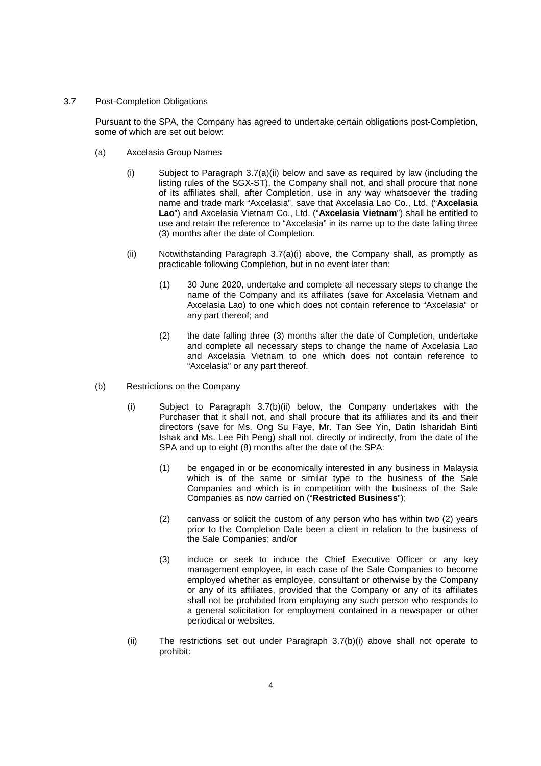### 3.7 Post-Completion Obligations

Pursuant to the SPA, the Company has agreed to undertake certain obligations post-Completion, some of which are set out below:

- (a) Axcelasia Group Names
	- (i) Subject to Paragraph 3.7(a)(ii) below and save as required by law (including the listing rules of the SGX-ST), the Company shall not, and shall procure that none of its affiliates shall, after Completion, use in any way whatsoever the trading name and trade mark "Axcelasia", save that Axcelasia Lao Co., Ltd. ("**Axcelasia Lao**") and Axcelasia Vietnam Co., Ltd. ("**Axcelasia Vietnam**") shall be entitled to use and retain the reference to "Axcelasia" in its name up to the date falling three (3) months after the date of Completion.
	- (ii) Notwithstanding Paragraph 3.7(a)(i) above, the Company shall, as promptly as practicable following Completion, but in no event later than:
		- (1) 30 June 2020, undertake and complete all necessary steps to change the name of the Company and its affiliates (save for Axcelasia Vietnam and Axcelasia Lao) to one which does not contain reference to "Axcelasia" or any part thereof; and
		- (2) the date falling three (3) months after the date of Completion, undertake and complete all necessary steps to change the name of Axcelasia Lao and Axcelasia Vietnam to one which does not contain reference to "Axcelasia" or any part thereof.
- (b) Restrictions on the Company
	- (i) Subject to Paragraph 3.7(b)(ii) below, the Company undertakes with the Purchaser that it shall not, and shall procure that its affiliates and its and their directors (save for Ms. Ong Su Faye, Mr. Tan See Yin, Datin Isharidah Binti Ishak and Ms. Lee Pih Peng) shall not, directly or indirectly, from the date of the SPA and up to eight (8) months after the date of the SPA:
		- (1) be engaged in or be economically interested in any business in Malaysia which is of the same or similar type to the business of the Sale Companies and which is in competition with the business of the Sale Companies as now carried on ("**Restricted Business**");
		- (2) canvass or solicit the custom of any person who has within two (2) years prior to the Completion Date been a client in relation to the business of the Sale Companies; and/or
		- (3) induce or seek to induce the Chief Executive Officer or any key management employee, in each case of the Sale Companies to become employed whether as employee, consultant or otherwise by the Company or any of its affiliates, provided that the Company or any of its affiliates shall not be prohibited from employing any such person who responds to a general solicitation for employment contained in a newspaper or other periodical or websites.
	- (ii) The restrictions set out under Paragraph 3.7(b)(i) above shall not operate to prohibit: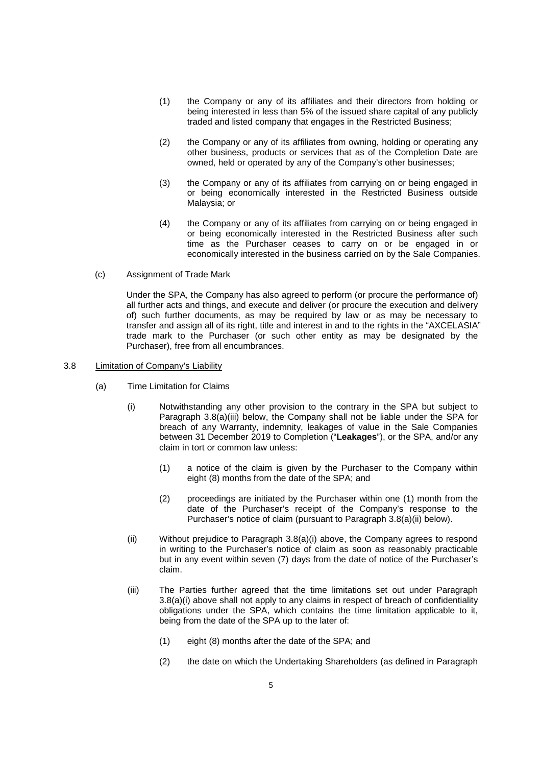- (1) the Company or any of its affiliates and their directors from holding or being interested in less than 5% of the issued share capital of any publicly traded and listed company that engages in the Restricted Business;
- (2) the Company or any of its affiliates from owning, holding or operating any other business, products or services that as of the Completion Date are owned, held or operated by any of the Company's other businesses;
- (3) the Company or any of its affiliates from carrying on or being engaged in or being economically interested in the Restricted Business outside Malaysia; or
- (4) the Company or any of its affiliates from carrying on or being engaged in or being economically interested in the Restricted Business after such time as the Purchaser ceases to carry on or be engaged in or economically interested in the business carried on by the Sale Companies.
- (c) Assignment of Trade Mark

Under the SPA, the Company has also agreed to perform (or procure the performance of) all further acts and things, and execute and deliver (or procure the execution and delivery of) such further documents, as may be required by law or as may be necessary to transfer and assign all of its right, title and interest in and to the rights in the "AXCELASIA" trade mark to the Purchaser (or such other entity as may be designated by the Purchaser), free from all encumbrances.

- 3.8 Limitation of Company's Liability
	- (a) Time Limitation for Claims
		- (i) Notwithstanding any other provision to the contrary in the SPA but subject to Paragraph 3.8(a)(iii) below, the Company shall not be liable under the SPA for breach of any Warranty, indemnity, leakages of value in the Sale Companies between 31 December 2019 to Completion ("**Leakages**"), or the SPA, and/or any claim in tort or common law unless:
			- (1) a notice of the claim is given by the Purchaser to the Company within eight (8) months from the date of the SPA; and
			- (2) proceedings are initiated by the Purchaser within one (1) month from the date of the Purchaser's receipt of the Company's response to the Purchaser's notice of claim (pursuant to Paragraph 3.8(a)(ii) below).
		- (ii) Without prejudice to Paragraph 3.8(a)(i) above, the Company agrees to respond in writing to the Purchaser's notice of claim as soon as reasonably practicable but in any event within seven (7) days from the date of notice of the Purchaser's claim.
		- (iii) The Parties further agreed that the time limitations set out under Paragraph 3.8(a)(i) above shall not apply to any claims in respect of breach of confidentiality obligations under the SPA, which contains the time limitation applicable to it, being from the date of the SPA up to the later of:
			- (1) eight (8) months after the date of the SPA; and
			- (2) the date on which the Undertaking Shareholders (as defined in Paragraph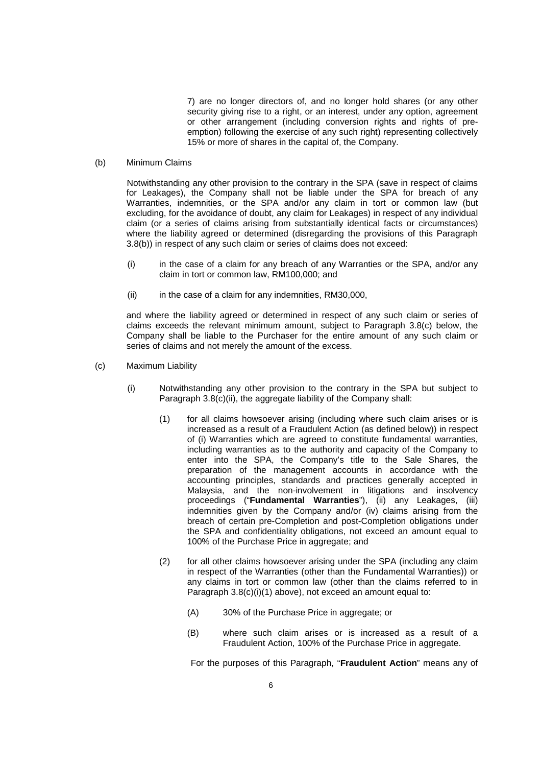7) are no longer directors of, and no longer hold shares (or any other security giving rise to a right, or an interest, under any option, agreement or other arrangement (including conversion rights and rights of preemption) following the exercise of any such right) representing collectively 15% or more of shares in the capital of, the Company.

#### (b) Minimum Claims

Notwithstanding any other provision to the contrary in the SPA (save in respect of claims for Leakages), the Company shall not be liable under the SPA for breach of any Warranties, indemnities, or the SPA and/or any claim in tort or common law (but excluding, for the avoidance of doubt, any claim for Leakages) in respect of any individual claim (or a series of claims arising from substantially identical facts or circumstances) where the liability agreed or determined (disregarding the provisions of this Paragraph 3.8(b)) in respect of any such claim or series of claims does not exceed:

- (i) in the case of a claim for any breach of any Warranties or the SPA, and/or any claim in tort or common law, RM100,000; and
- (ii) in the case of a claim for any indemnities, RM30,000,

and where the liability agreed or determined in respect of any such claim or series of claims exceeds the relevant minimum amount, subject to Paragraph 3.8(c) below, the Company shall be liable to the Purchaser for the entire amount of any such claim or series of claims and not merely the amount of the excess.

- (c) Maximum Liability
	- (i) Notwithstanding any other provision to the contrary in the SPA but subject to Paragraph 3.8(c)(ii), the aggregate liability of the Company shall:
		- (1) for all claims howsoever arising (including where such claim arises or is increased as a result of a Fraudulent Action (as defined below)) in respect of (i) Warranties which are agreed to constitute fundamental warranties, including warranties as to the authority and capacity of the Company to enter into the SPA, the Company's title to the Sale Shares, the preparation of the management accounts in accordance with the accounting principles, standards and practices generally accepted in Malaysia, and the non-involvement in litigations and insolvency proceedings ("Fundamental Warranties"), (ii) any Leakages, (iii) indemnities given by the Company and/or (iv) claims arising from the breach of certain pre-Completion and post-Completion obligations under the SPA and confidentiality obligations, not exceed an amount equal to 100% of the Purchase Price in aggregate; and
		- (2) for all other claims howsoever arising under the SPA (including any claim in respect of the Warranties (other than the Fundamental Warranties)) or any claims in tort or common law (other than the claims referred to in Paragraph 3.8(c)(i)(1) above), not exceed an amount equal to:
			- (A) 30% of the Purchase Price in aggregate; or
			- (B) where such claim arises or is increased as a result of a Fraudulent Action, 100% of the Purchase Price in aggregate.

For the purposes of this Paragraph, "**Fraudulent Action**" means any of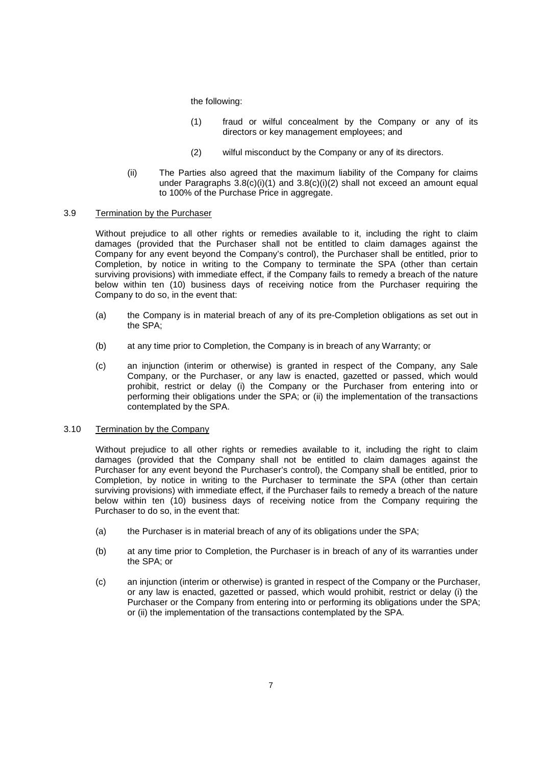the following:

- (1) fraud or wilful concealment by the Company or any of its directors or key management employees; and
- (2) wilful misconduct by the Company or any of its directors.
- (ii) The Parties also agreed that the maximum liability of the Company for claims under Paragraphs 3.8(c)(i)(1) and 3.8(c)(i)(2) shall not exceed an amount equal to 100% of the Purchase Price in aggregate.

# 3.9 Termination by the Purchaser

Without prejudice to all other rights or remedies available to it, including the right to claim damages (provided that the Purchaser shall not be entitled to claim damages against the Company for any event beyond the Company's control), the Purchaser shall be entitled, prior to Completion, by notice in writing to the Company to terminate the SPA (other than certain surviving provisions) with immediate effect, if the Company fails to remedy a breach of the nature below within ten (10) business days of receiving notice from the Purchaser requiring the Company to do so, in the event that:

- (a) the Company is in material breach of any of its pre-Completion obligations as set out in the SPA;
- (b) at any time prior to Completion, the Company is in breach of any Warranty; or
- (c) an injunction (interim or otherwise) is granted in respect of the Company, any Sale Company, or the Purchaser, or any law is enacted, gazetted or passed, which would prohibit, restrict or delay (i) the Company or the Purchaser from entering into or performing their obligations under the SPA; or (ii) the implementation of the transactions contemplated by the SPA.

# 3.10 Termination by the Company

Without prejudice to all other rights or remedies available to it, including the right to claim damages (provided that the Company shall not be entitled to claim damages against the Purchaser for any event beyond the Purchaser's control), the Company shall be entitled, prior to Completion, by notice in writing to the Purchaser to terminate the SPA (other than certain surviving provisions) with immediate effect, if the Purchaser fails to remedy a breach of the nature below within ten (10) business days of receiving notice from the Company requiring the Purchaser to do so, in the event that:

- (a) the Purchaser is in material breach of any of its obligations under the SPA;
- (b) at any time prior to Completion, the Purchaser is in breach of any of its warranties under the SPA; or
- (c) an injunction (interim or otherwise) is granted in respect of the Company or the Purchaser, or any law is enacted, gazetted or passed, which would prohibit, restrict or delay (i) the Purchaser or the Company from entering into or performing its obligations under the SPA; or (ii) the implementation of the transactions contemplated by the SPA.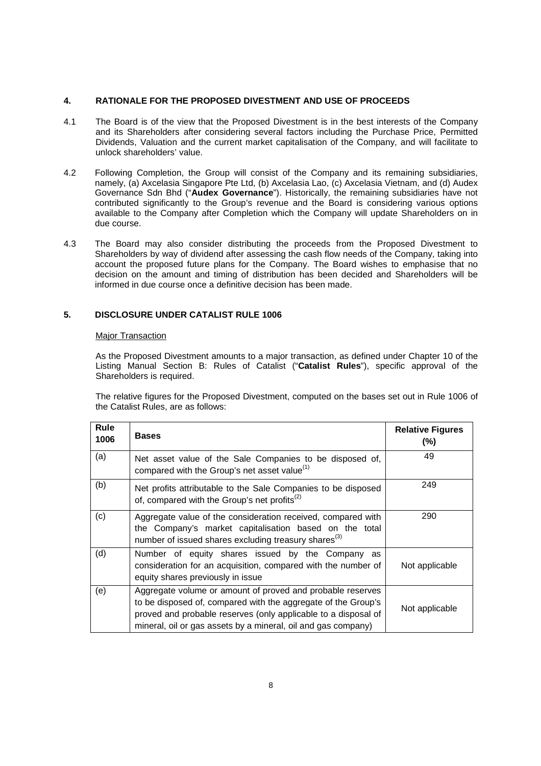# **4. RATIONALE FOR THE PROPOSED DIVESTMENT AND USE OF PROCEEDS**

- 4.1 The Board is of the view that the Proposed Divestment is in the best interests of the Company and its Shareholders after considering several factors including the Purchase Price, Permitted Dividends, Valuation and the current market capitalisation of the Company, and will facilitate to unlock shareholders' value.
- 4.2 Following Completion, the Group will consist of the Company and its remaining subsidiaries, namely, (a) Axcelasia Singapore Pte Ltd, (b) Axcelasia Lao, (c) Axcelasia Vietnam, and (d) Audex Governance Sdn Bhd ("**Audex Governance**"). Historically, the remaining subsidiaries have not contributed significantly to the Group's revenue and the Board is considering various options available to the Company after Completion which the Company will update Shareholders on in due course.
- 4.3 The Board may also consider distributing the proceeds from the Proposed Divestment to Shareholders by way of dividend after assessing the cash flow needs of the Company, taking into account the proposed future plans for the Company. The Board wishes to emphasise that no decision on the amount and timing of distribution has been decided and Shareholders will be informed in due course once a definitive decision has been made.

# **5. DISCLOSURE UNDER CATALIST RULE 1006**

#### Major Transaction

As the Proposed Divestment amounts to a major transaction, as defined under Chapter 10 of the Listing Manual Section B: Rules of Catalist ("**Catalist Rules**"), specific approval of the Shareholders is required.

The relative figures for the Proposed Divestment, computed on the bases set out in Rule 1006 of the Catalist Rules, are as follows:

| Rule<br>1006 | <b>Bases</b>                                                                                                                                                                                                                                                   | <b>Relative Figures</b><br>$(\% )$ |
|--------------|----------------------------------------------------------------------------------------------------------------------------------------------------------------------------------------------------------------------------------------------------------------|------------------------------------|
| (a)          | Net asset value of the Sale Companies to be disposed of,<br>compared with the Group's net asset value <sup>(1)</sup>                                                                                                                                           | 49                                 |
| (b)          | Net profits attributable to the Sale Companies to be disposed<br>of, compared with the Group's net profits <sup>(2)</sup>                                                                                                                                      | 249                                |
| (c)          | Aggregate value of the consideration received, compared with<br>the Company's market capitalisation based on the total<br>number of issued shares excluding treasury shares <sup>(3)</sup>                                                                     | 290                                |
| (d)          | Number of equity shares issued by the Company as<br>consideration for an acquisition, compared with the number of<br>equity shares previously in issue                                                                                                         | Not applicable                     |
| (e)          | Aggregate volume or amount of proved and probable reserves<br>to be disposed of, compared with the aggregate of the Group's<br>proved and probable reserves (only applicable to a disposal of<br>mineral, oil or gas assets by a mineral, oil and gas company) | Not applicable                     |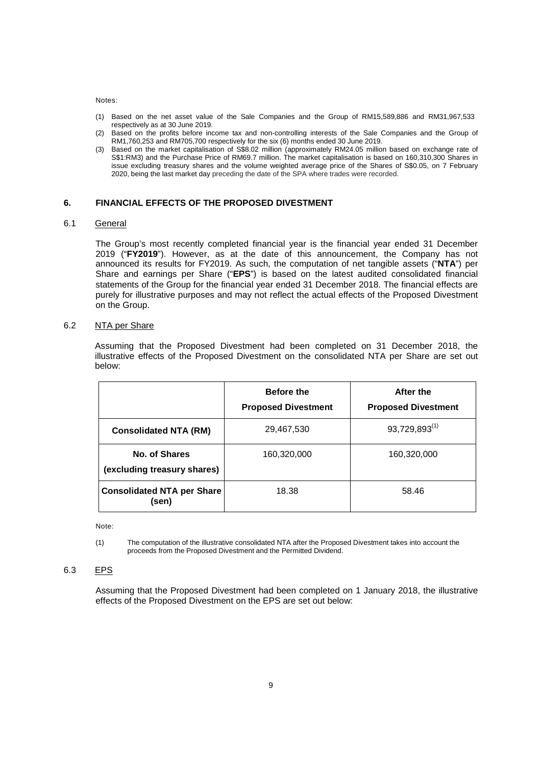Notes:

- (1) Based on the net asset value of the Sale Companies and the Group of RM15,589,886 and RM31,967,533 respectively as at 30 June 2019.
- (2) Based on the profits before income tax and non-controlling interests of the Sale Companies and the Group of RM1,760,253 and RM705,700 respectively for the six (6) months ended 30 June 2019.
- (3) Based on the market capitalisation of S\$8.02 million (approximately RM24.05 million based on exchange rate of S\$1:RM3) and the Purchase Price of RM69.7 million. The market capitalisation is based on 160,310,300 Shares in issue excluding treasury shares and the volume weighted average price of the Shares of S\$0.05, on 7 February 2020, being the last market day preceding the date of the SPA where trades were recorded.

#### **6. FINANCIAL EFFECTS OF THE PROPOSED DIVESTMENT**

# 6.1 General

The Group's most recently completed financial year is the financial year ended 31 December 2019 ("**FY2019**"). However, as at the date of this announcement, the Company has not announced its results for FY2019. As such, the computation of net tangible assets ("**NTA**") per Share and earnings per Share ("**EPS**") is based on the latest audited consolidated financial statements of the Group for the financial year ended 31 December 2018. The financial effects are purely for illustrative purposes and may not reflect the actual effects of the Proposed Divestment on the Group.

### 6.2 NTA per Share

Assuming that the Proposed Divestment had been completed on 31 December 2018, the illustrative effects of the Proposed Divestment on the consolidated NTA per Share are set out below:

|                                              | <b>Before the</b><br><b>Proposed Divestment</b> | After the<br><b>Proposed Divestment</b> |
|----------------------------------------------|-------------------------------------------------|-----------------------------------------|
| <b>Consolidated NTA (RM)</b>                 | 29,467,530                                      | $93,729,893^{(1)}$                      |
| No. of Shares<br>(excluding treasury shares) | 160,320,000                                     | 160,320,000                             |
| <b>Consolidated NTA per Share</b><br>(sen)   | 18.38                                           | 58.46                                   |

Note:

(1) The computation of the illustrative consolidated NTA after the Proposed Divestment takes into account the proceeds from the Proposed Divestment and the Permitted Dividend.

#### 6.3 EPS

Assuming that the Proposed Divestment had been completed on 1 January 2018, the illustrative effects of the Proposed Divestment on the EPS are set out below: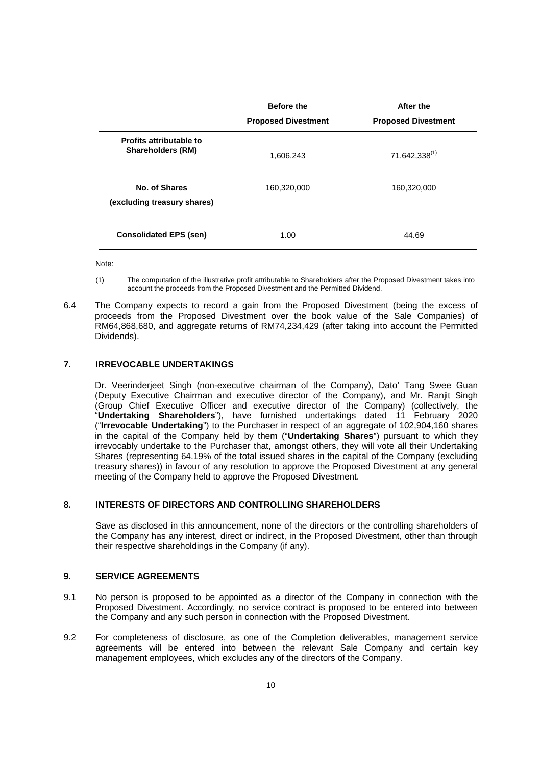|                                                            | <b>Before the</b><br><b>Proposed Divestment</b> | After the<br><b>Proposed Divestment</b> |
|------------------------------------------------------------|-------------------------------------------------|-----------------------------------------|
| <b>Profits attributable to</b><br><b>Shareholders (RM)</b> | 1,606,243                                       | 71,642,338 <sup>(1)</sup>               |
| No. of Shares<br>(excluding treasury shares)               | 160,320,000                                     | 160,320,000                             |
| <b>Consolidated EPS (sen)</b>                              | 1.00                                            | 44.69                                   |

Note:

- (1) The computation of the illustrative profit attributable to Shareholders after the Proposed Divestment takes into account the proceeds from the Proposed Divestment and the Permitted Dividend.
- 6.4 The Company expects to record a gain from the Proposed Divestment (being the excess of proceeds from the Proposed Divestment over the book value of the Sale Companies) of RM64,868,680, and aggregate returns of RM74,234,429 (after taking into account the Permitted Dividends).

# **7. IRREVOCABLE UNDERTAKINGS**

Dr. Veerinderjeet Singh (non-executive chairman of the Company), Dato' Tang Swee Guan (Deputy Executive Chairman and executive director of the Company), and Mr. Ranjit Singh (Group Chief Executive Officer and executive director of the Company) (collectively, the "**Undertaking Shareholders**"), have furnished undertakings dated 11 February 2020 ("**Irrevocable Undertaking**") to the Purchaser in respect of an aggregate of 102,904,160 shares in the capital of the Company held by them ("**Undertaking Shares**") pursuant to which they irrevocably undertake to the Purchaser that, amongst others, they will vote all their Undertaking Shares (representing 64.19% of the total issued shares in the capital of the Company (excluding treasury shares)) in favour of any resolution to approve the Proposed Divestment at any general meeting of the Company held to approve the Proposed Divestment.

# **8. INTERESTS OF DIRECTORS AND CONTROLLING SHAREHOLDERS**

Save as disclosed in this announcement, none of the directors or the controlling shareholders of the Company has any interest, direct or indirect, in the Proposed Divestment, other than through their respective shareholdings in the Company (if any).

# **9. SERVICE AGREEMENTS**

- 9.1 No person is proposed to be appointed as a director of the Company in connection with the Proposed Divestment. Accordingly, no service contract is proposed to be entered into between the Company and any such person in connection with the Proposed Divestment.
- 9.2 For completeness of disclosure, as one of the Completion deliverables, management service agreements will be entered into between the relevant Sale Company and certain key management employees, which excludes any of the directors of the Company.